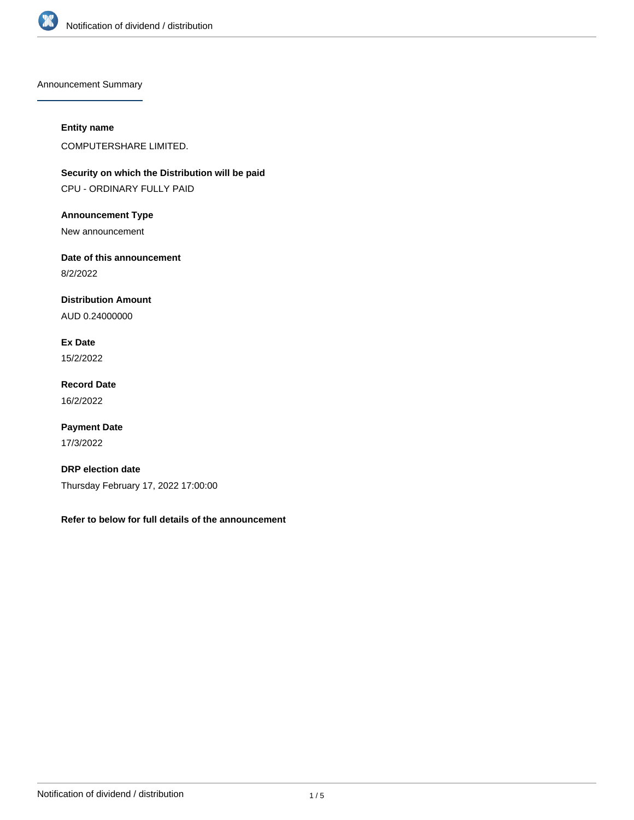

Announcement Summary

# **Entity name**

COMPUTERSHARE LIMITED.

**Security on which the Distribution will be paid** CPU - ORDINARY FULLY PAID

**Announcement Type**

New announcement

**Date of this announcement**

8/2/2022

**Distribution Amount**

AUD 0.24000000

**Ex Date** 15/2/2022

**Record Date** 16/2/2022

**Payment Date** 17/3/2022

**DRP election date** Thursday February 17, 2022 17:00:00

**Refer to below for full details of the announcement**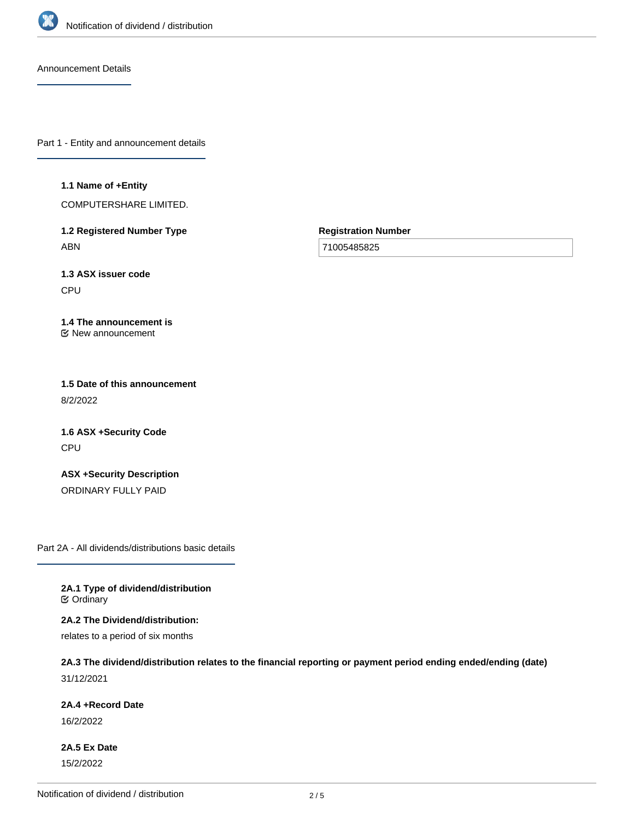

Announcement Details

Part 1 - Entity and announcement details

#### **1.1 Name of +Entity**

COMPUTERSHARE LIMITED.

**1.2 Registered Number Type** ABN

**Registration Number**

71005485825

**1.3 ASX issuer code** CPU

#### **1.4 The announcement is** New announcement

**1.5 Date of this announcement** 8/2/2022

**1.6 ASX +Security Code** CPU

**ASX +Security Description** ORDINARY FULLY PAID

Part 2A - All dividends/distributions basic details

**2A.1 Type of dividend/distribution C** Ordinary

**2A.2 The Dividend/distribution:**

relates to a period of six months

# **2A.3 The dividend/distribution relates to the financial reporting or payment period ending ended/ending (date)**

31/12/2021

# **2A.4 +Record Date**

16/2/2022

**2A.5 Ex Date** 15/2/2022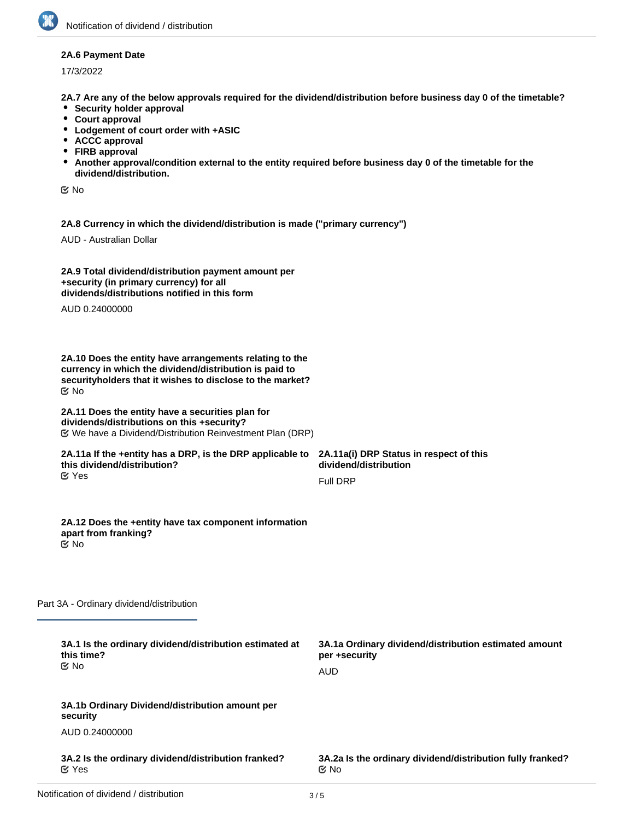## **2A.6 Payment Date**

17/3/2022

**2A.7 Are any of the below approvals required for the dividend/distribution before business day 0 of the timetable?**

- **•** Security holder approval
- **Court approval**
- **Lodgement of court order with +ASIC**
- **ACCC approval**
- **FIRB approval**
- **Another approval/condition external to the entity required before business day 0 of the timetable for the dividend/distribution.**

No

**2A.8 Currency in which the dividend/distribution is made ("primary currency")**

AUD - Australian Dollar

| 2A.9 Total dividend/distribution payment amount per |  |
|-----------------------------------------------------|--|
| +security (in primary currency) for all             |  |
| dividends/distributions notified in this form       |  |

AUD 0.24000000

**2A.10 Does the entity have arrangements relating to the currency in which the dividend/distribution is paid to securityholders that it wishes to disclose to the market?** No

#### **2A.11 Does the entity have a securities plan for dividends/distributions on this +security?** We have a Dividend/Distribution Reinvestment Plan (DRP)

#### **2A.11a If the +entity has a DRP, is the DRP applicable to this dividend/distribution?** Yes

**2A.11a(i) DRP Status in respect of this dividend/distribution** Full DRP

#### **2A.12 Does the +entity have tax component information apart from franking?** No

Part 3A - Ordinary dividend/distribution

| 3A.1 Is the ordinary dividend/distribution estimated at<br>this time?<br>C⁄⊠ No | 3A.1a Ordinary dividend/distribution estimated amount<br>per +security<br>AUD |
|---------------------------------------------------------------------------------|-------------------------------------------------------------------------------|
| 3A.1b Ordinary Dividend/distribution amount per<br>security                     |                                                                               |
| AUD 0.24000000                                                                  |                                                                               |
| 3A.2 Is the ordinary dividend/distribution franked?<br>$\alpha$ Yes             | 3A.2a Is the ordinary dividend/distribution fully franked?<br><b>≝</b> No     |
|                                                                                 |                                                                               |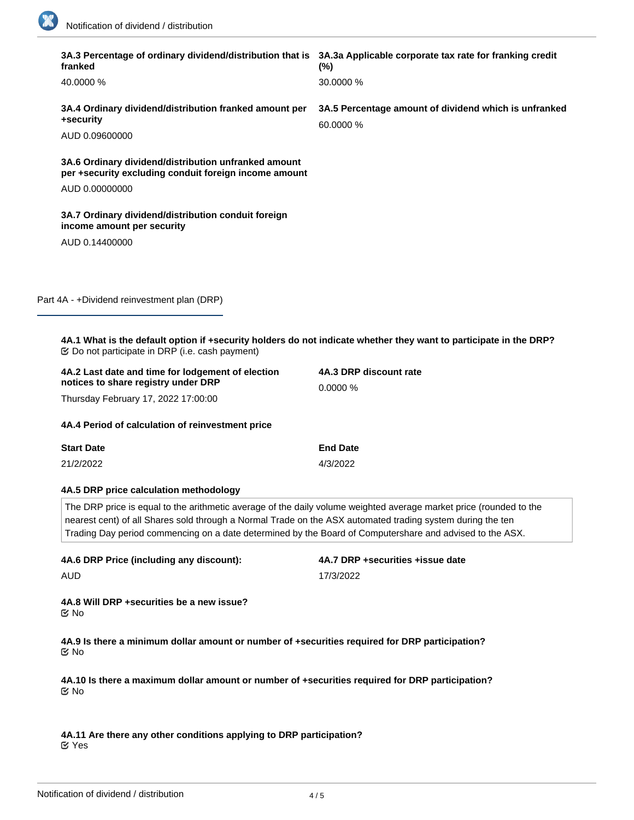

| $(\% )$                                                                                                                                                                                                                                                                                                                                      |  |  |
|----------------------------------------------------------------------------------------------------------------------------------------------------------------------------------------------------------------------------------------------------------------------------------------------------------------------------------------------|--|--|
| 30.0000 %                                                                                                                                                                                                                                                                                                                                    |  |  |
| 3A.4 Ordinary dividend/distribution franked amount per<br>3A.5 Percentage amount of dividend which is unfranked<br>60,0000 %                                                                                                                                                                                                                 |  |  |
|                                                                                                                                                                                                                                                                                                                                              |  |  |
| per +security excluding conduit foreign income amount                                                                                                                                                                                                                                                                                        |  |  |
|                                                                                                                                                                                                                                                                                                                                              |  |  |
|                                                                                                                                                                                                                                                                                                                                              |  |  |
|                                                                                                                                                                                                                                                                                                                                              |  |  |
|                                                                                                                                                                                                                                                                                                                                              |  |  |
|                                                                                                                                                                                                                                                                                                                                              |  |  |
| 4A.1 What is the default option if +security holders do not indicate whether they want to participate in the DRP?                                                                                                                                                                                                                            |  |  |
| 4A.3 DRP discount rate                                                                                                                                                                                                                                                                                                                       |  |  |
| 0.0000%                                                                                                                                                                                                                                                                                                                                      |  |  |
|                                                                                                                                                                                                                                                                                                                                              |  |  |
| <b>End Date</b>                                                                                                                                                                                                                                                                                                                              |  |  |
| 4/3/2022                                                                                                                                                                                                                                                                                                                                     |  |  |
|                                                                                                                                                                                                                                                                                                                                              |  |  |
| The DRP price is equal to the arithmetic average of the daily volume weighted average market price (rounded to the<br>nearest cent) of all Shares sold through a Normal Trade on the ASX automated trading system during the ten<br>Trading Day period commencing on a date determined by the Board of Computershare and advised to the ASX. |  |  |
| 4A.7 DRP +securities +issue date                                                                                                                                                                                                                                                                                                             |  |  |
| 17/3/2022                                                                                                                                                                                                                                                                                                                                    |  |  |
|                                                                                                                                                                                                                                                                                                                                              |  |  |
| 4A.9 Is there a minimum dollar amount or number of +securities required for DRP participation?<br>で No                                                                                                                                                                                                                                       |  |  |
| 4A.10 Is there a maximum dollar amount or number of +securities required for DRP participation?                                                                                                                                                                                                                                              |  |  |
|                                                                                                                                                                                                                                                                                                                                              |  |  |

Yes